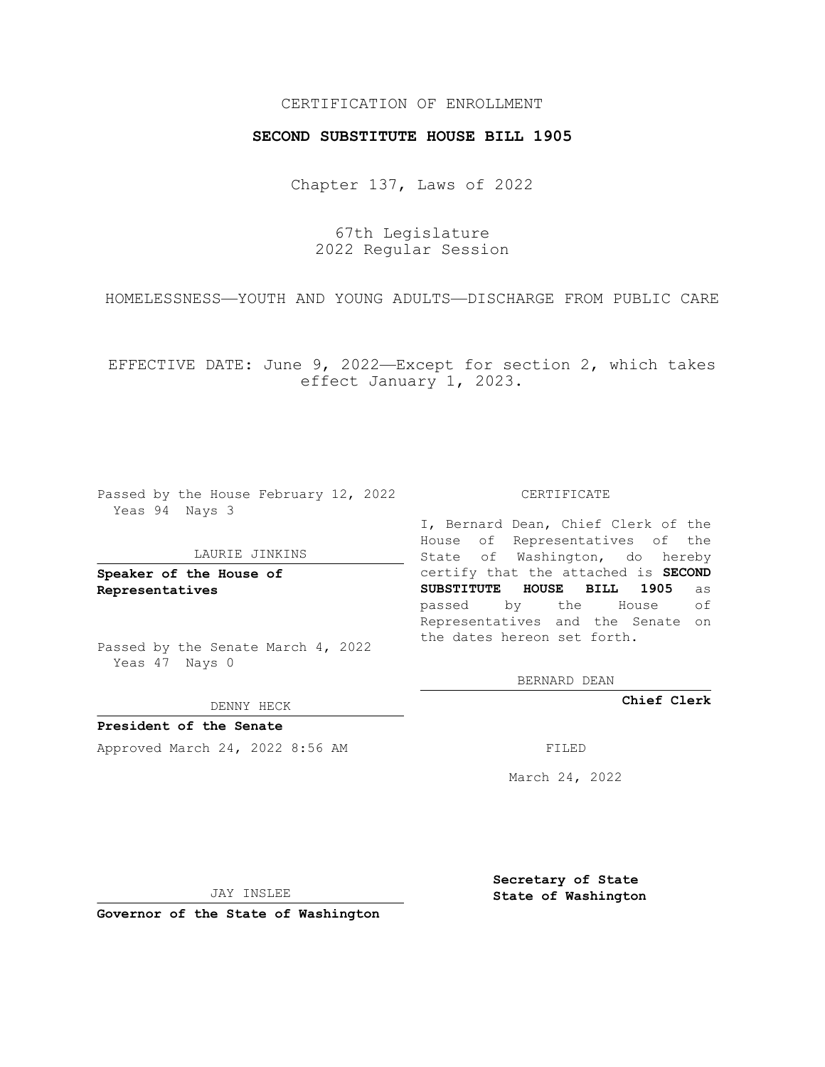## CERTIFICATION OF ENROLLMENT

## **SECOND SUBSTITUTE HOUSE BILL 1905**

Chapter 137, Laws of 2022

67th Legislature 2022 Regular Session

HOMELESSNESS—YOUTH AND YOUNG ADULTS—DISCHARGE FROM PUBLIC CARE

EFFECTIVE DATE: June 9, 2022—Except for section 2, which takes effect January 1, 2023.

Passed by the House February 12, 2022 Yeas 94 Nays 3

#### LAURIE JINKINS

**Speaker of the House of Representatives**

Passed by the Senate March 4, 2022 Yeas 47 Nays 0

DENNY HECK

**President of the Senate** Approved March 24, 2022 8:56 AM

CERTIFICATE

I, Bernard Dean, Chief Clerk of the House of Representatives of the State of Washington, do hereby certify that the attached is **SECOND SUBSTITUTE HOUSE BILL 1905** as passed by the House of Representatives and the Senate on the dates hereon set forth.

BERNARD DEAN

**Chief Clerk**

March 24, 2022

JAY INSLEE

**Governor of the State of Washington**

**Secretary of State State of Washington**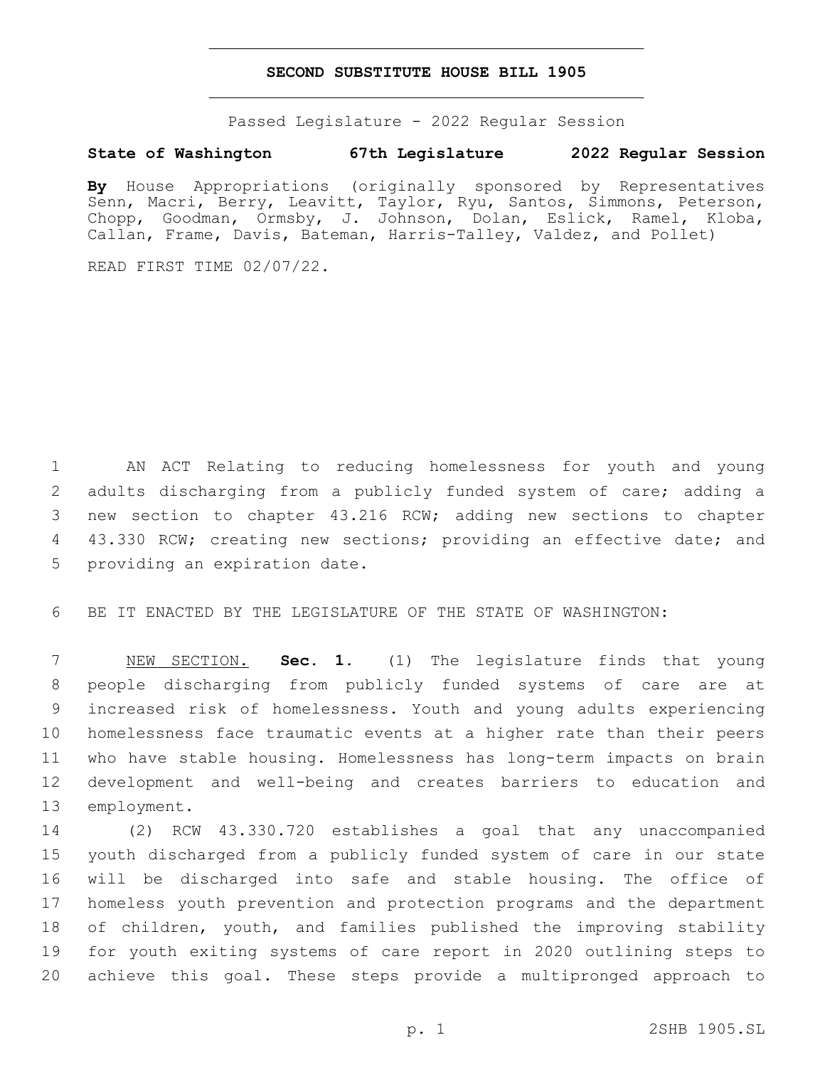### **SECOND SUBSTITUTE HOUSE BILL 1905**

Passed Legislature - 2022 Regular Session

# **State of Washington 67th Legislature 2022 Regular Session**

**By** House Appropriations (originally sponsored by Representatives Senn, Macri, Berry, Leavitt, Taylor, Ryu, Santos, Simmons, Peterson, Chopp, Goodman, Ormsby, J. Johnson, Dolan, Eslick, Ramel, Kloba, Callan, Frame, Davis, Bateman, Harris-Talley, Valdez, and Pollet)

READ FIRST TIME 02/07/22.

1 AN ACT Relating to reducing homelessness for youth and young 2 adults discharging from a publicly funded system of care; adding a 3 new section to chapter 43.216 RCW; adding new sections to chapter 4 43.330 RCW; creating new sections; providing an effective date; and 5 providing an expiration date.

6 BE IT ENACTED BY THE LEGISLATURE OF THE STATE OF WASHINGTON:

 NEW SECTION. **Sec. 1.** (1) The legislature finds that young people discharging from publicly funded systems of care are at increased risk of homelessness. Youth and young adults experiencing homelessness face traumatic events at a higher rate than their peers who have stable housing. Homelessness has long-term impacts on brain development and well-being and creates barriers to education and employment.

 (2) RCW 43.330.720 establishes a goal that any unaccompanied youth discharged from a publicly funded system of care in our state will be discharged into safe and stable housing. The office of homeless youth prevention and protection programs and the department of children, youth, and families published the improving stability for youth exiting systems of care report in 2020 outlining steps to achieve this goal. These steps provide a multipronged approach to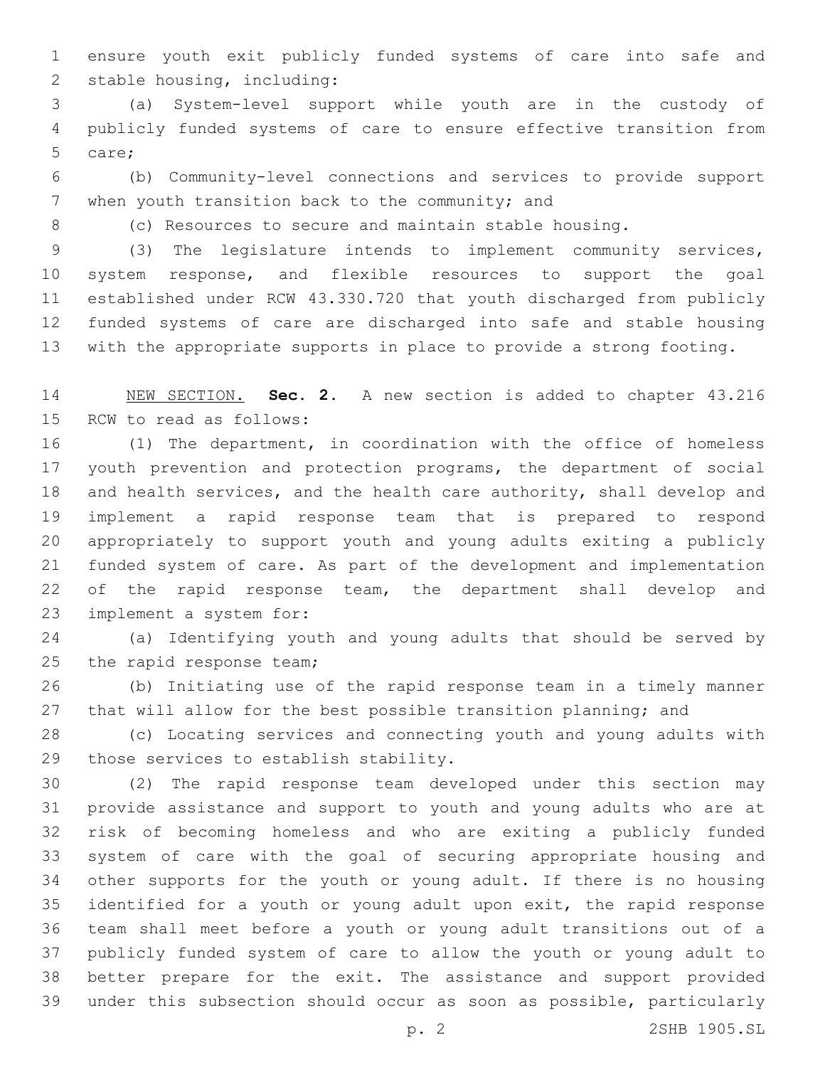ensure youth exit publicly funded systems of care into safe and 2 stable housing, including:

 (a) System-level support while youth are in the custody of publicly funded systems of care to ensure effective transition from 5 care;

 (b) Community-level connections and services to provide support 7 when youth transition back to the community; and

(c) Resources to secure and maintain stable housing.

 (3) The legislature intends to implement community services, system response, and flexible resources to support the goal established under RCW 43.330.720 that youth discharged from publicly funded systems of care are discharged into safe and stable housing with the appropriate supports in place to provide a strong footing.

 NEW SECTION. **Sec. 2.** A new section is added to chapter 43.216 15 RCW to read as follows:

 (1) The department, in coordination with the office of homeless youth prevention and protection programs, the department of social and health services, and the health care authority, shall develop and implement a rapid response team that is prepared to respond appropriately to support youth and young adults exiting a publicly funded system of care. As part of the development and implementation 22 of the rapid response team, the department shall develop and 23 implement a system for:

 (a) Identifying youth and young adults that should be served by 25 the rapid response team;

 (b) Initiating use of the rapid response team in a timely manner 27 that will allow for the best possible transition planning; and

 (c) Locating services and connecting youth and young adults with 29 those services to establish stability.

 (2) The rapid response team developed under this section may provide assistance and support to youth and young adults who are at risk of becoming homeless and who are exiting a publicly funded system of care with the goal of securing appropriate housing and other supports for the youth or young adult. If there is no housing identified for a youth or young adult upon exit, the rapid response team shall meet before a youth or young adult transitions out of a publicly funded system of care to allow the youth or young adult to better prepare for the exit. The assistance and support provided under this subsection should occur as soon as possible, particularly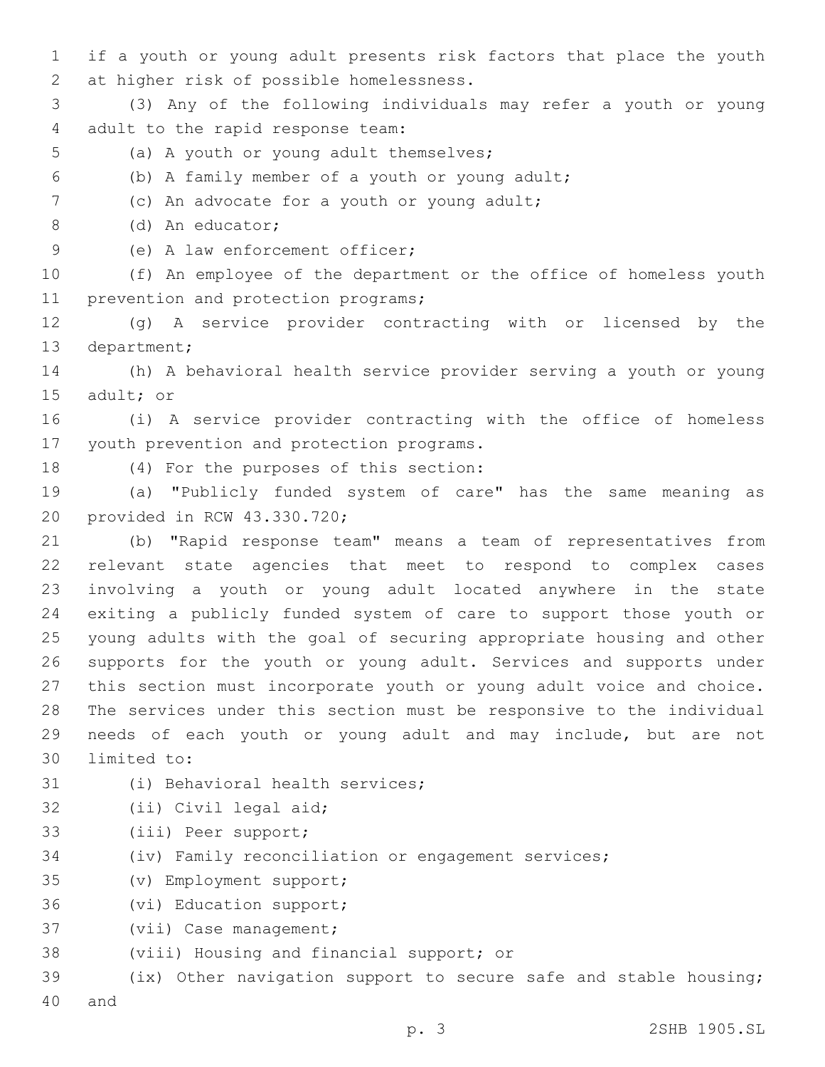1 if a youth or young adult presents risk factors that place the youth 2 at higher risk of possible homelessness.

3 (3) Any of the following individuals may refer a youth or young 4 adult to the rapid response team:

- 5 (a) A youth or young adult themselves;
- (b) A family member of a youth or young adult;6

7 (c) An advocate for a youth or young adult;

(d) An educator;8

9 (e) A law enforcement officer;

10 (f) An employee of the department or the office of homeless youth 11 prevention and protection programs;

12 (g) A service provider contracting with or licensed by the 13 department;

14 (h) A behavioral health service provider serving a youth or young 15 adult; or

16 (i) A service provider contracting with the office of homeless 17 youth prevention and protection programs.

18 (4) For the purposes of this section:

19 (a) "Publicly funded system of care" has the same meaning as 20 provided in RCW 43.330.720;

 (b) "Rapid response team" means a team of representatives from relevant state agencies that meet to respond to complex cases involving a youth or young adult located anywhere in the state exiting a publicly funded system of care to support those youth or young adults with the goal of securing appropriate housing and other supports for the youth or young adult. Services and supports under this section must incorporate youth or young adult voice and choice. The services under this section must be responsive to the individual needs of each youth or young adult and may include, but are not 30 limited to:

- 31 (i) Behavioral health services;
- 32 (ii) Civil legal aid;
- 33 (iii) Peer support;
- 34 (iv) Family reconciliation or engagement services;
- (v) Employment support;35
- 36 (vi) Education support;
- 37 (vii) Case management;
- 38 (viii) Housing and financial support; or

39 (ix) Other navigation support to secure safe and stable housing; 40 and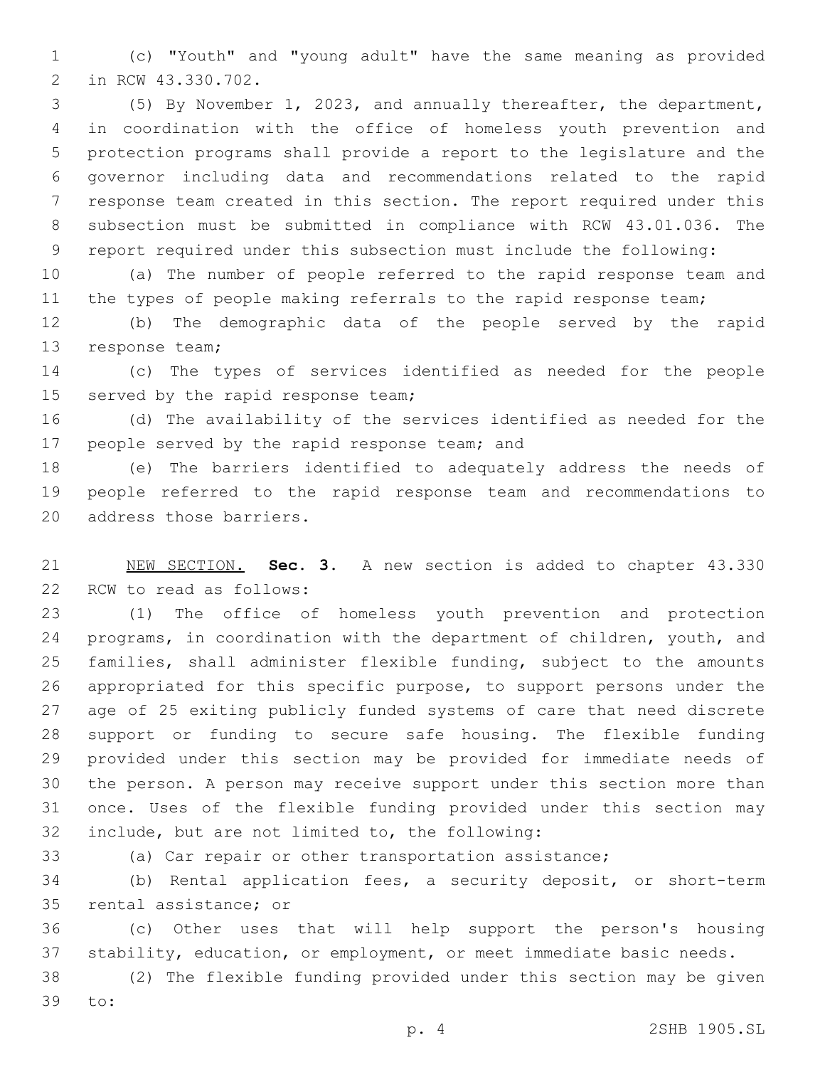(c) "Youth" and "young adult" have the same meaning as provided 2 in RCW 43.330.702.

 (5) By November 1, 2023, and annually thereafter, the department, in coordination with the office of homeless youth prevention and protection programs shall provide a report to the legislature and the governor including data and recommendations related to the rapid response team created in this section. The report required under this subsection must be submitted in compliance with RCW 43.01.036. The report required under this subsection must include the following:

 (a) The number of people referred to the rapid response team and 11 the types of people making referrals to the rapid response team;

 (b) The demographic data of the people served by the rapid 13 response team;

 (c) The types of services identified as needed for the people 15 served by the rapid response team;

 (d) The availability of the services identified as needed for the 17 people served by the rapid response team; and

 (e) The barriers identified to adequately address the needs of people referred to the rapid response team and recommendations to 20 address those barriers.

 NEW SECTION. **Sec. 3.** A new section is added to chapter 43.330 22 RCW to read as follows:

 (1) The office of homeless youth prevention and protection programs, in coordination with the department of children, youth, and families, shall administer flexible funding, subject to the amounts appropriated for this specific purpose, to support persons under the age of 25 exiting publicly funded systems of care that need discrete support or funding to secure safe housing. The flexible funding provided under this section may be provided for immediate needs of the person. A person may receive support under this section more than once. Uses of the flexible funding provided under this section may 32 include, but are not limited to, the following:

(a) Car repair or other transportation assistance;

 (b) Rental application fees, a security deposit, or short-term 35 rental assistance; or

 (c) Other uses that will help support the person's housing stability, education, or employment, or meet immediate basic needs.

 (2) The flexible funding provided under this section may be given 39 to: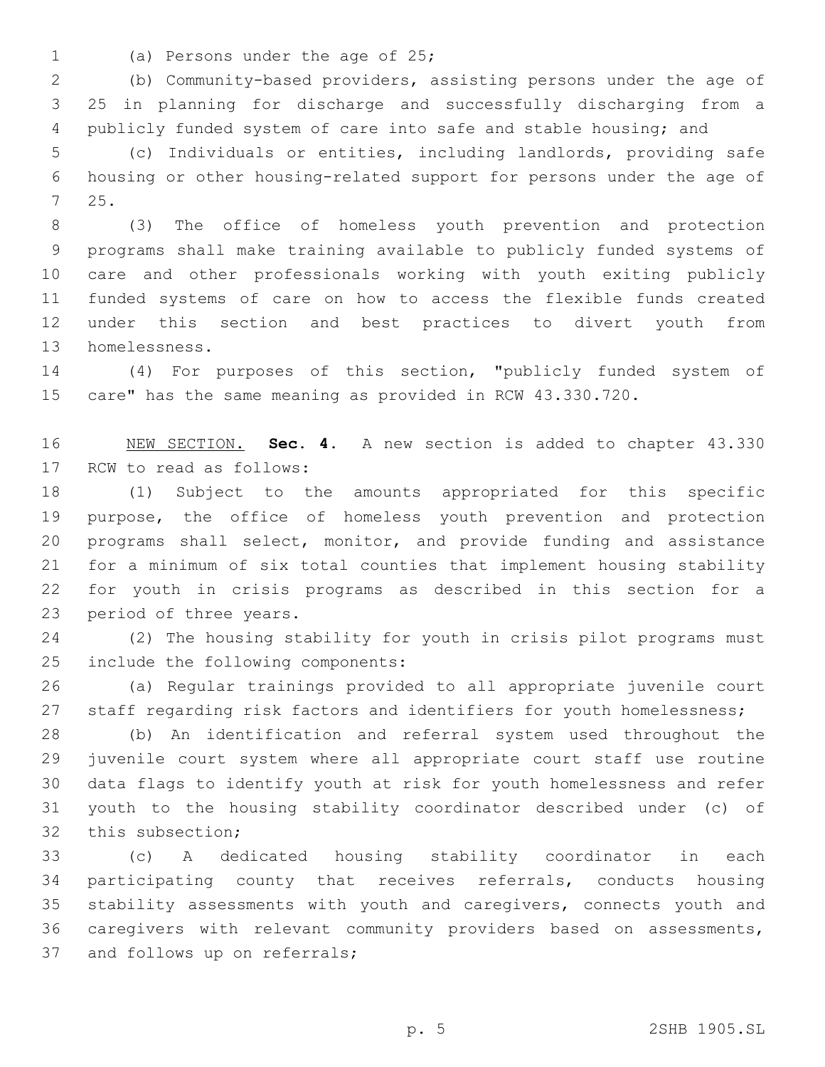- 
- 1 (a) Persons under the age of 25;

 (b) Community-based providers, assisting persons under the age of 25 in planning for discharge and successfully discharging from a publicly funded system of care into safe and stable housing; and

 (c) Individuals or entities, including landlords, providing safe housing or other housing-related support for persons under the age of 25.7

 (3) The office of homeless youth prevention and protection programs shall make training available to publicly funded systems of care and other professionals working with youth exiting publicly funded systems of care on how to access the flexible funds created under this section and best practices to divert youth from 13 homelessness.

 (4) For purposes of this section, "publicly funded system of care" has the same meaning as provided in RCW 43.330.720.

 NEW SECTION. **Sec. 4.** A new section is added to chapter 43.330 17 RCW to read as follows:

 (1) Subject to the amounts appropriated for this specific purpose, the office of homeless youth prevention and protection programs shall select, monitor, and provide funding and assistance for a minimum of six total counties that implement housing stability for youth in crisis programs as described in this section for a 23 period of three years.

 (2) The housing stability for youth in crisis pilot programs must 25 include the following components:

 (a) Regular trainings provided to all appropriate juvenile court 27 staff regarding risk factors and identifiers for youth homelessness;

 (b) An identification and referral system used throughout the juvenile court system where all appropriate court staff use routine data flags to identify youth at risk for youth homelessness and refer youth to the housing stability coordinator described under (c) of 32 this subsection;

 (c) A dedicated housing stability coordinator in each participating county that receives referrals, conducts housing stability assessments with youth and caregivers, connects youth and caregivers with relevant community providers based on assessments, 37 and follows up on referrals;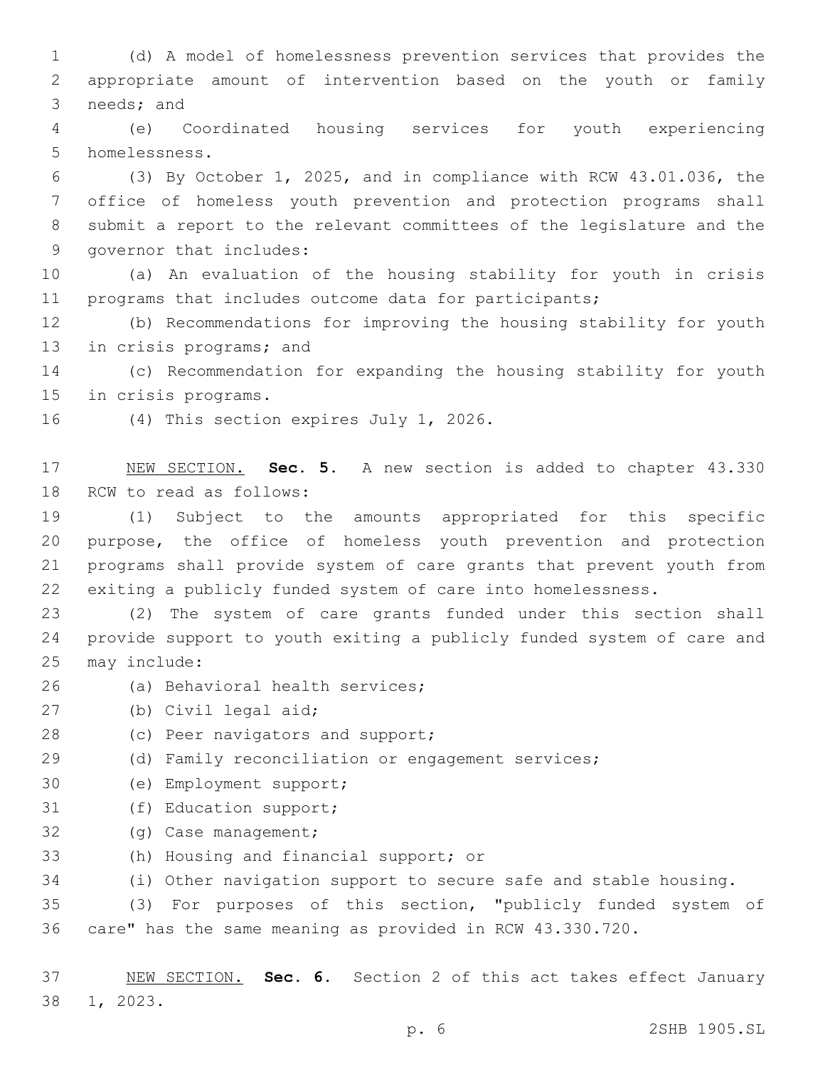1 (d) A model of homelessness prevention services that provides the 2 appropriate amount of intervention based on the youth or family 3 needs; and

4 (e) Coordinated housing services for youth experiencing 5 homelessness.

 (3) By October 1, 2025, and in compliance with RCW 43.01.036, the office of homeless youth prevention and protection programs shall submit a report to the relevant committees of the legislature and the 9 governor that includes:

10 (a) An evaluation of the housing stability for youth in crisis 11 programs that includes outcome data for participants;

12 (b) Recommendations for improving the housing stability for youth 13 in crisis programs; and

14 (c) Recommendation for expanding the housing stability for youth 15 in crisis programs.

16 (4) This section expires July 1, 2026.

17 NEW SECTION. **Sec. 5.** A new section is added to chapter 43.330 18 RCW to read as follows:

 (1) Subject to the amounts appropriated for this specific purpose, the office of homeless youth prevention and protection programs shall provide system of care grants that prevent youth from exiting a publicly funded system of care into homelessness.

23 (2) The system of care grants funded under this section shall 24 provide support to youth exiting a publicly funded system of care and 25 may include:

- 26 (a) Behavioral health services;
- 27 (b) Civil legal aid;
- 28 (c) Peer navigators and support;
- 29 (d) Family reconciliation or engagement services;
- 30 (e) Employment support;
- 31 (f) Education support;
- 32 (g) Case management;
- 33 (h) Housing and financial support; or

34 (i) Other navigation support to secure safe and stable housing.

35 (3) For purposes of this section, "publicly funded system of 36 care" has the same meaning as provided in RCW 43.330.720.

37 NEW SECTION. **Sec. 6.** Section 2 of this act takes effect January 38 1, 2023.